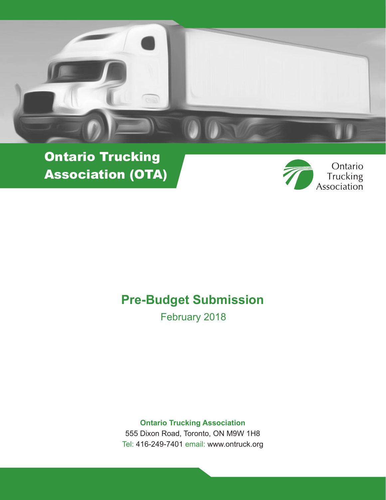

Ontario Trucking Association (OTA)



# **Pre-Budget Submission**

February 2018

**Ontario Trucking Association** 555 Dixon Road, Toronto, ON M9W 1H8 Tel: 416-249-7401 email: www.ontruck.org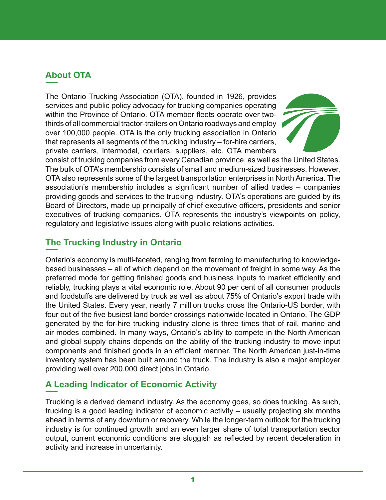## **About OTA**

The Ontario Trucking Association (OTA), founded in 1926, provides services and public policy advocacy for trucking companies operating within the Province of Ontario. OTA member fleets operate over twothirds of all commercial tractor-trailers on Ontario roadways and employ over 100,000 people. OTA is the only trucking association in Ontario that represents all segments of the trucking industry – for-hire carriers, private carriers, intermodal, couriers, suppliers, etc. OTA members



consist of trucking companies from every Canadian province, as well as the United States. The bulk of OTA's membership consists of small and medium-sized businesses. However, OTA also represents some of the largest transportation enterprises in North America. The association's membership includes a significant number of allied trades – companies providing goods and services to the trucking industry. OTA's operations are guided by its Board of Directors, made up principally of chief executive officers, presidents and senior executives of trucking companies. OTA represents the industry's viewpoints on policy, regulatory and legislative issues along with public relations activities.

## **The Trucking Industry in Ontario**

Ontario's economy is multi-faceted, ranging from farming to manufacturing to knowledgebased businesses – all of which depend on the movement of freight in some way. As the preferred mode for getting finished goods and business inputs to market efficiently and reliably, trucking plays a vital economic role. About 90 per cent of all consumer products and foodstuffs are delivered by truck as well as about 75% of Ontario's export trade with the United States. Every year, nearly 7 million trucks cross the Ontario-US border, with four out of the five busiest land border crossings nationwide located in Ontario. The GDP generated by the for-hire trucking industry alone is three times that of rail, marine and air modes combined. In many ways, Ontario's ability to compete in the North American and global supply chains depends on the ability of the trucking industry to move input components and finished goods in an efficient manner. The North American just-in-time inventory system has been built around the truck. The industry is also a major employer providing well over 200,000 direct jobs in Ontario.

## **A Leading Indicator of Economic Activity**

Trucking is a derived demand industry. As the economy goes, so does trucking. As such, trucking is a good leading indicator of economic activity – usually projecting six months ahead in terms of any downturn or recovery. While the longer-term outlook for the trucking industry is for continued growth and an even larger share of total transportation sector output, current economic conditions are sluggish as reflected by recent deceleration in activity and increase in uncertainty.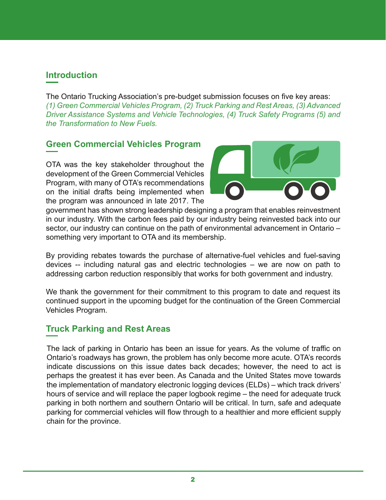#### **Introduction**

The Ontario Trucking Association's pre-budget submission focuses on five key areas: *(1) Green Commercial Vehicles Program, (2) Truck Parking and Rest Areas, (3) Advanced Driver Assistance Systems and Vehicle Technologies, (4) Truck Safety Programs (5) and the Transformation to New Fuels.* 

#### **Green Commercial Vehicles Program**

OTA was the key stakeholder throughout the development of the Green Commercial Vehicles Program, with many of OTA's recommendations on the initial drafts being implemented when the program was announced in late 2017. The



government has shown strong leadership designing a program that enables reinvestment in our industry. With the carbon fees paid by our industry being reinvested back into our sector, our industry can continue on the path of environmental advancement in Ontario – something very important to OTA and its membership.

By providing rebates towards the purchase of alternative-fuel vehicles and fuel-saving devices -- including natural gas and electric technologies – we are now on path to addressing carbon reduction responsibly that works for both government and industry.

We thank the government for their commitment to this program to date and request its continued support in the upcoming budget for the continuation of the Green Commercial Vehicles Program.

#### **Truck Parking and Rest Areas**

The lack of parking in Ontario has been an issue for years. As the volume of traffic on Ontario's roadways has grown, the problem has only become more acute. OTA's records indicate discussions on this issue dates back decades; however, the need to act is perhaps the greatest it has ever been. As Canada and the United States move towards the implementation of mandatory electronic logging devices (ELDs) – which track drivers' hours of service and will replace the paper logbook regime – the need for adequate truck parking in both northern and southern Ontario will be critical. In turn, safe and adequate parking for commercial vehicles will flow through to a healthier and more efficient supply chain for the province.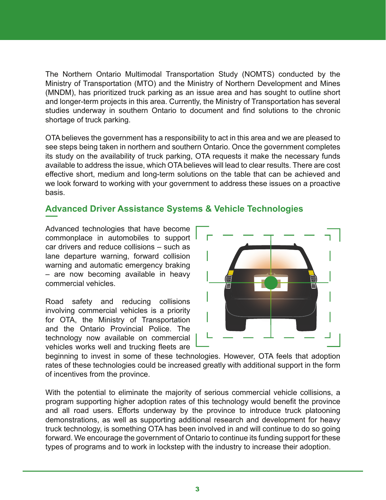The Northern Ontario Multimodal Transportation Study (NOMTS) conducted by the Ministry of Transportation (MTO) and the Ministry of Northern Development and Mines (MNDM), has prioritized truck parking as an issue area and has sought to outline short and longer-term projects in this area. Currently, the Ministry of Transportation has several studies underway in southern Ontario to document and find solutions to the chronic shortage of truck parking.

OTA believes the government has a responsibility to act in this area and we are pleased to see steps being taken in northern and southern Ontario. Once the government completes its study on the availability of truck parking, OTA requests it make the necessary funds available to address the issue, which OTA believes will lead to clear results. There are cost effective short, medium and long-term solutions on the table that can be achieved and we look forward to working with your government to address these issues on a proactive basis.

#### **Advanced Driver Assistance Systems & Vehicle Technologies**

Advanced technologies that have become commonplace in automobiles to support car drivers and reduce collisions – such as lane departure warning, forward collision warning and automatic emergency braking – are now becoming available in heavy commercial vehicles.

Road safety and reducing collisions involving commercial vehicles is a priority for OTA, the Ministry of Transportation and the Ontario Provincial Police. The technology now available on commercial vehicles works well and trucking fleets are



beginning to invest in some of these technologies. However, OTA feels that adoption rates of these technologies could be increased greatly with additional support in the form of incentives from the province.

With the potential to eliminate the majority of serious commercial vehicle collisions, a program supporting higher adoption rates of this technology would benefit the province and all road users. Efforts underway by the province to introduce truck platooning demonstrations, as well as supporting additional research and development for heavy truck technology, is something OTA has been involved in and will continue to do so going forward. We encourage the government of Ontario to continue its funding support for these types of programs and to work in lockstep with the industry to increase their adoption.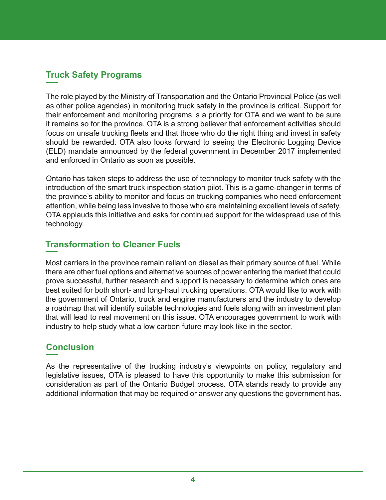## **Truck Safety Programs**

The role played by the Ministry of Transportation and the Ontario Provincial Police (as well as other police agencies) in monitoring truck safety in the province is critical. Support for their enforcement and monitoring programs is a priority for OTA and we want to be sure it remains so for the province. OTA is a strong believer that enforcement activities should focus on unsafe trucking fleets and that those who do the right thing and invest in safety should be rewarded. OTA also looks forward to seeing the Electronic Logging Device (ELD) mandate announced by the federal government in December 2017 implemented and enforced in Ontario as soon as possible.

Ontario has taken steps to address the use of technology to monitor truck safety with the introduction of the smart truck inspection station pilot. This is a game-changer in terms of the province's ability to monitor and focus on trucking companies who need enforcement attention, while being less invasive to those who are maintaining excellent levels of safety. OTA applauds this initiative and asks for continued support for the widespread use of this technology.

#### **Transformation to Cleaner Fuels**

Most carriers in the province remain reliant on diesel as their primary source of fuel. While there are other fuel options and alternative sources of power entering the market that could prove successful, further research and support is necessary to determine which ones are best suited for both short- and long-haul trucking operations. OTA would like to work with the government of Ontario, truck and engine manufacturers and the industry to develop a roadmap that will identify suitable technologies and fuels along with an investment plan that will lead to real movement on this issue. OTA encourages government to work with industry to help study what a low carbon future may look like in the sector.

#### **Conclusion**

As the representative of the trucking industry's viewpoints on policy, regulatory and legislative issues, OTA is pleased to have this opportunity to make this submission for consideration as part of the Ontario Budget process. OTA stands ready to provide any additional information that may be required or answer any questions the government has.